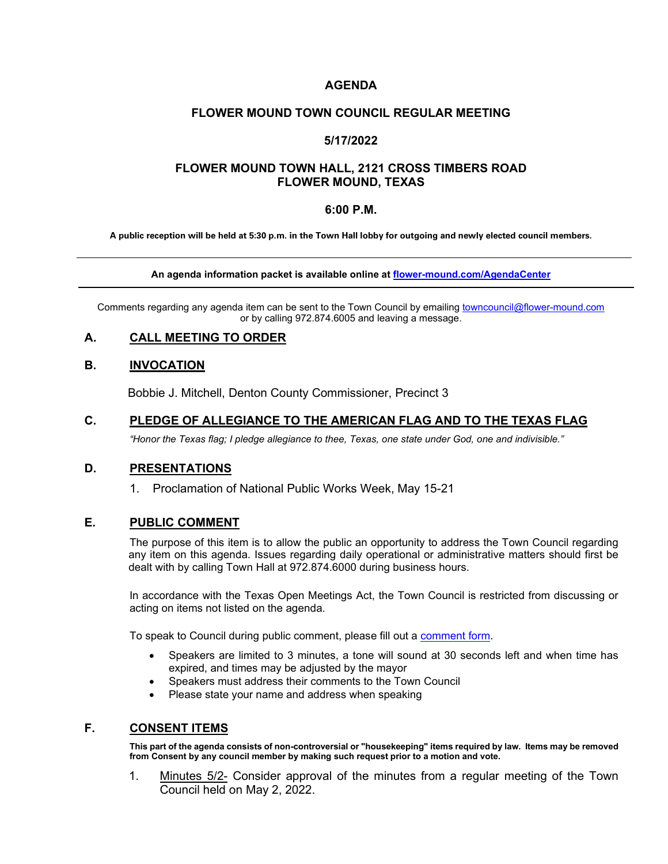### **AGENDA**

#### **FLOWER MOUND TOWN COUNCIL REGULAR MEETING**

### **5/17/2022**

### **FLOWER MOUND TOWN HALL, 2121 CROSS TIMBERS ROAD FLOWER MOUND, TEXAS**

#### **6:00 P.M.**

**A public reception will be held at 5:30 p.m. in the Town Hall lobby for outgoing and newly elected council members.**

#### **An agenda information packet is available online at [flower-mound.com/AgendaCenter](file://san-svr/Shared/Town%20Secretary%20Office/Approved%20Agenda%20Items/TSO%20Theresa/4.4.22/www.flower-mound.com/AgendaCenter)**

Comments regarding any agenda item can be sent to the Town Council by emailing towncouncil@flower-mound.com or by calling 972.874.6005 and leaving a message.

#### **A. CALL MEETING TO ORDER**

#### **B. INVOCATION**

Bobbie J. Mitchell, Denton County Commissioner, Precinct 3

#### **C. PLEDGE OF ALLEGIANCE TO THE AMERICAN FLAG AND TO THE TEXAS FLAG**

*"Honor the Texas flag; I pledge allegiance to thee, Texas, one state under God, one and indivisible."*

#### **D. PRESENTATIONS**

1. Proclamation of National Public Works Week, May 15-21

#### **E. PUBLIC COMMENT**

The purpose of this item is to allow the public an opportunity to address the Town Council regarding any item on this agenda. Issues regarding daily operational or administrative matters should first be dealt with by calling Town Hall at 972.874.6000 during business hours.

In accordance with the Texas Open Meetings Act, the Town Council is restricted from discussing or acting on items not listed on the agenda.

To speak to Council during public comment, please fill out a [comment form.](https://www.flower-mound.com/DocumentCenter/View/10425)

- Speakers are limited to 3 minutes, a tone will sound at 30 seconds left and when time has expired, and times may be adjusted by the mayor
- Speakers must address their comments to the Town Council
- Please state your name and address when speaking

#### **F. CONSENT ITEMS**

**This part of the agenda consists of non-controversial or "housekeeping" items required by law. Items may be removed from Consent by any council member by making such request prior to a motion and vote.** 

1. Minutes 5/2- Consider approval of the minutes from a regular meeting of the Town Council held on May 2, 2022.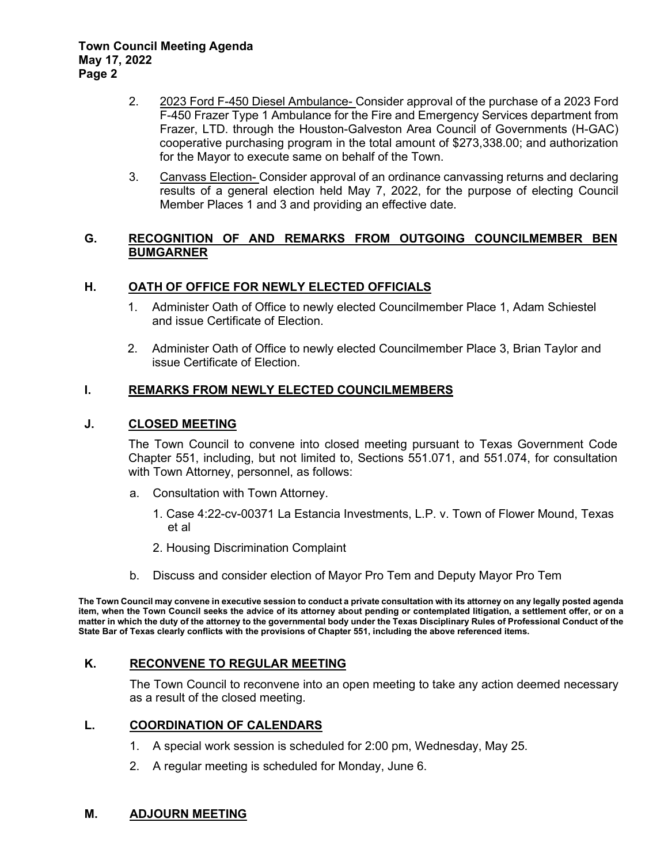- 2. 2023 Ford F-450 Diesel Ambulance- Consider approval of the purchase of a 2023 Ford F-450 Frazer Type 1 Ambulance for the Fire and Emergency Services department from Frazer, LTD. through the Houston-Galveston Area Council of Governments (H-GAC) cooperative purchasing program in the total amount of \$273,338.00; and authorization for the Mayor to execute same on behalf of the Town.
- 3. Canvass Election- Consider approval of an ordinance canvassing returns and declaring results of a general election held May 7, 2022, for the purpose of electing Council Member Places 1 and 3 and providing an effective date.

# **G. RECOGNITION OF AND REMARKS FROM OUTGOING COUNCILMEMBER BEN BUMGARNER**

# **H. OATH OF OFFICE FOR NEWLY ELECTED OFFICIALS**

- 1. Administer Oath of Office to newly elected Councilmember Place 1, Adam Schiestel and issue Certificate of Election.
- 2. Administer Oath of Office to newly elected Councilmember Place 3, Brian Taylor and issue Certificate of Election.

# **I. REMARKS FROM NEWLY ELECTED COUNCILMEMBERS**

# **J. CLOSED MEETING**

The Town Council to convene into closed meeting pursuant to Texas Government Code Chapter 551, including, but not limited to, Sections 551.071, and 551.074, for consultation with Town Attorney, personnel, as follows:

- a. Consultation with Town Attorney.
	- 1. Case 4:22-cv-00371 La Estancia Investments, L.P. v. Town of Flower Mound, Texas et al
	- 2. Housing Discrimination Complaint
- b. Discuss and consider election of Mayor Pro Tem and Deputy Mayor Pro Tem

**The Town Council may convene in executive session to conduct a private consultation with its attorney on any legally posted agenda item, when the Town Council seeks the advice of its attorney about pending or contemplated litigation, a settlement offer, or on a matter in which the duty of the attorney to the governmental body under the Texas Disciplinary Rules of Professional Conduct of the State Bar of Texas clearly conflicts with the provisions of Chapter 551, including the above referenced items.** 

# **K. RECONVENE TO REGULAR MEETING**

The Town Council to reconvene into an open meeting to take any action deemed necessary as a result of the closed meeting.

# **L. COORDINATION OF CALENDARS**

- 1. A special work session is scheduled for 2:00 pm, Wednesday, May 25.
- 2. A regular meeting is scheduled for Monday, June 6.

# **M. ADJOURN MEETING**